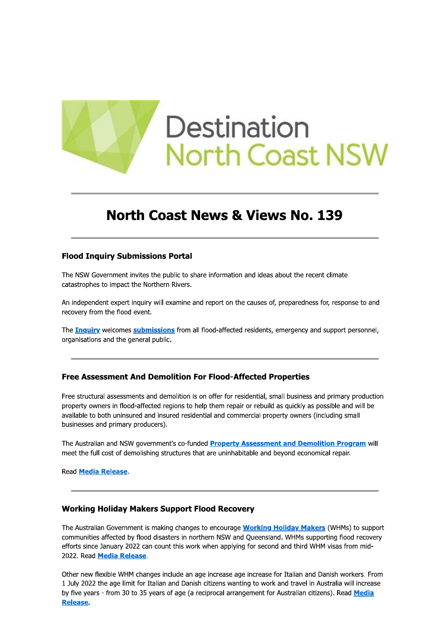

# **North Coast News & Views No. 139**

#### **Flood Inquiry Submissions Portal**

The NSW Government invites the public to share information and ideas about the recent climate catastrophes to impact the Northern Rivers.

An independent expert inquiry will examine and report on the causes of, preparedness for, response to and recovery from the flood event.

The **Inquiry** welcomes **submissions** from all flood-affected residents, emergency and support personnel, organisations and the general public.

## **Free Assessment And Demolition For Flood-Affected Properties**

Free structural assessments and demolition is on offer for residential, small business and primary production property owners in flood-affected regions to help them repair or rebuild as quickly as possible and will be available to both uninsured and insured residential and commercial property owners (including small businesses and primary producers).

The Australian and NSW government's co-funded Property Assessment and Demolition Program will meet the full cost of demolishing structures that are uninhabitable and beyond economical repair.

Read Media Release.

## **Working Holiday Makers Support Flood Recovery**

The Australian Government is making changes to encourage **Working Holiday Makers** (WHMs) to support communities affected by flood disasters in northern NSW and Queensland. WHMs supporting flood recovery efforts since January 2022 can count this work when applying for second and third WHM visas from mid-2022. Read Media Release.

Other new flexible WHM changes include an age increase age increase for Italian and Danish workers. From 1 July 2022 the age limit for Italian and Danish citizens wanting to work and travel in Australia will increase by five years - from 30 to 35 years of age (a reciprocal arrangement for Australian citizens). Read Media **Release**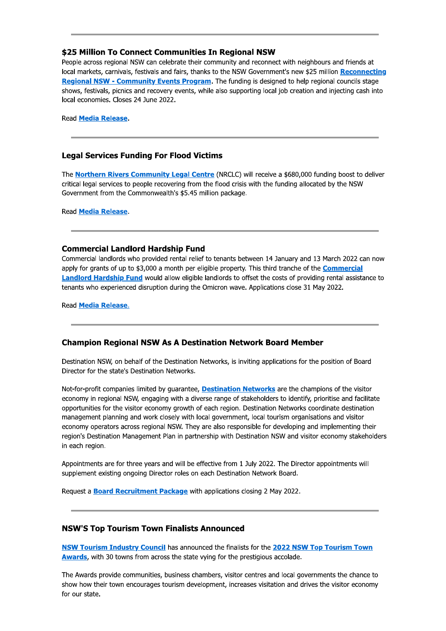## \$25 Million To Connect Communities In Regional NSW

People across regional NSW can celebrate their community and reconnect with neighbours and friends at local markets, carnivals, festivals and fairs, thanks to the NSW Government's new \$25 million Reconnecting Regional NSW - Community Events Program. The funding is designed to help regional councils stage shows, festivals, picnics and recovery events, while also supporting local job creation and injecting cash into local economies. Closes 24 June 2022.

**Read Media Release.** 

## **Legal Services Funding For Flood Victims**

The Northern Rivers Community Legal Centre (NRCLC) will receive a \$680,000 funding boost to deliver critical legal services to people recovering from the flood crisis with the funding allocated by the NSW Government from the Commonwealth's \$5.45 million package.

**Read Media Release.** 

## **Commercial Landlord Hardship Fund**

Commercial landlords who provided rental relief to tenants between 14 January and 13 March 2022 can now apply for grants of up to \$3,000 a month per eligible property. This third tranche of the **Commercial Landlord Hardship Fund** would allow eligible landlords to offset the costs of providing rental assistance to tenants who experienced disruption during the Omicron wave. Applications close 31 May 2022.

Read Media Release.

## **Champion Regional NSW As A Destination Network Board Member**

Destination NSW, on behalf of the Destination Networks, is inviting applications for the position of Board Director for the state's Destination Networks.

Not-for-profit companies limited by quarantee, **Destination Networks** are the champions of the visitor economy in regional NSW, engaging with a diverse range of stakeholders to identify, prioritise and facilitate opportunities for the visitor economy growth of each region. Destination Networks coordinate destination management planning and work closely with local government, local tourism organisations and visitor economy operators across regional NSW. They are also responsible for developing and implementing their region's Destination Management Plan in partnership with Destination NSW and visitor economy stakeholders in each region.

Appointments are for three years and will be effective from 1 July 2022. The Director appointments will supplement existing ongoing Director roles on each Destination Network Board.

Request a **Board Recruitment Package** with applications closing 2 May 2022.

## **NSW'S Top Tourism Town Finalists Announced**

NSW Tourism Industry Council has announced the finalists for the 2022 NSW Top Tourism Town Awards, with 30 towns from across the state vying for the prestigious accolade.

The Awards provide communities, business chambers, visitor centres and local governments the chance to show how their town encourages tourism development, increases visitation and drives the visitor economy for our state.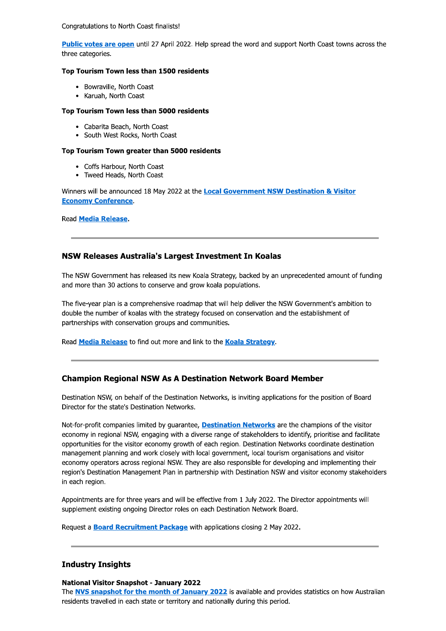Congratulations to North Coast finalists!

Public votes are open until 27 April 2022. Help spread the word and support North Coast towns across the three categories.

#### Top Tourism Town less than 1500 residents

- Bowraville, North Coast
- Karuah, North Coast

#### Top Tourism Town less than 5000 residents

- Cabarita Beach, North Coast
- South West Rocks, North Coast

#### Top Tourism Town greater than 5000 residents

- Coffs Harbour, North Coast
- Tweed Heads, North Coast

Winners will be announced 18 May 2022 at the **Local Government NSW Destination & Visitor Economy Conference** 

**Read Media Release.** 

## NSW Releases Australia's Largest Investment In Koalas

The NSW Government has released its new Koala Strategy, backed by an unprecedented amount of funding and more than 30 actions to conserve and grow koala populations.

The five-year plan is a comprehensive roadmap that will help deliver the NSW Government's ambition to double the number of koalas with the strategy focused on conservation and the establishment of partnerships with conservation groups and communities.

Read Media Release to find out more and link to the Koala Strategy.

## **Champion Regional NSW As A Destination Network Board Member**

Destination NSW, on behalf of the Destination Networks, is inviting applications for the position of Board Director for the state's Destination Networks.

Not-for-profit companies limited by quarantee, **Destination Networks** are the champions of the visitor economy in regional NSW, engaging with a diverse range of stakeholders to identify, prioritise and facilitate opportunities for the visitor economy growth of each region. Destination Networks coordinate destination management planning and work closely with local government, local tourism organisations and visitor economy operators across regional NSW. They are also responsible for developing and implementing their region's Destination Management Plan in partnership with Destination NSW and visitor economy stakeholders in each region.

Appointments are for three years and will be effective from 1 July 2022. The Director appointments will supplement existing ongoing Director roles on each Destination Network Board.

Request a **Board Recruitment Package** with applications closing 2 May 2022.

## **Industry Insights**

#### **National Visitor Snapshot - January 2022**

The NVS snapshot for the month of January 2022 is available and provides statistics on how Australian residents travelled in each state or territory and nationally during this period.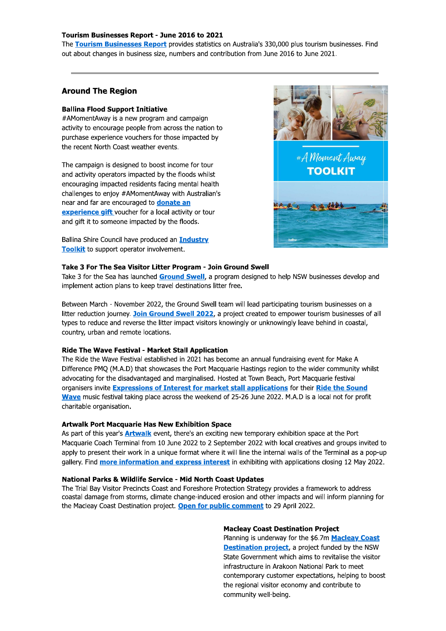#### Tourism Businesses Report - June 2016 to 2021

The Tourism Businesses Report provides statistics on Australia's 330,000 plus tourism businesses. Find out about changes in business size, numbers and contribution from June 2016 to June 2021.

## **Around The Region**

#### **Ballina Flood Support Initiative**

#AMomentAway is a new program and campaign activity to encourage people from across the nation to purchase experience vouchers for those impacted by the recent North Coast weather events.

The campaign is designed to boost income for tour and activity operators impacted by the floods whilst encouraging impacted residents facing mental health challenges to enjoy #AMomentAway with Australian's near and far are encouraged to **donate an** experience gift voucher for a local activity or tour and gift it to someone impacted by the floods.

Ballina Shire Council have produced an Industry Toolkit to support operator involvement.



#### Take 3 For The Sea Visitor Litter Program - Join Ground Swell

Take 3 for the Sea has launched Ground Swell, a program designed to help NSW businesses develop and implement action plans to keep travel destinations litter free.

Between March - November 2022, the Ground Swell team will lead participating tourism businesses on a litter reduction journey. Join Ground Swell 2022, a project created to empower tourism businesses of all types to reduce and reverse the litter impact visitors knowingly or unknowingly leave behind in coastal, country, urban and remote locations.

#### **Ride The Wave Festival - Market Stall Application**

The Ride the Wave Festival established in 2021 has become an annual fundraising event for Make A Difference PMQ (M.A.D) that showcases the Port Macquarie Hastings region to the wider community whilst advocating for the disadvantaged and marginalised. Hosted at Town Beach, Port Macquarie festival organisers invite Expressions of Interest for market stall applications for their Ride the Sound Wave music festival taking place across the weekend of 25-26 June 2022. M.A.D is a local not for profit charitable organisation.

#### **Artwalk Port Macquarie Has New Exhibition Space**

As part of this year's **Artwalk** event, there's an exciting new temporary exhibition space at the Port Macquarie Coach Terminal from 10 June 2022 to 2 September 2022 with local creatives and groups invited to apply to present their work in a unique format where it will line the internal walls of the Terminal as a pop-up gallery. Find **more information and express interest** in exhibiting with applications closing 12 May 2022.

#### National Parks & Wildlife Service - Mid North Coast Updates

The Trial Bay Visitor Precincts Coast and Foreshore Protection Strategy provides a framework to address coastal damage from storms, climate change-induced erosion and other impacts and will inform planning for the Macleay Coast Destination project. Open for public comment to 29 April 2022.

#### **Macleay Coast Destination Project**

Planning is underway for the \$6.7m Macleay Coast **Destination project**, a project funded by the NSW State Government which aims to revitalise the visitor infrastructure in Arakoon National Park to meet contemporary customer expectations, helping to boost the regional visitor economy and contribute to community well-being.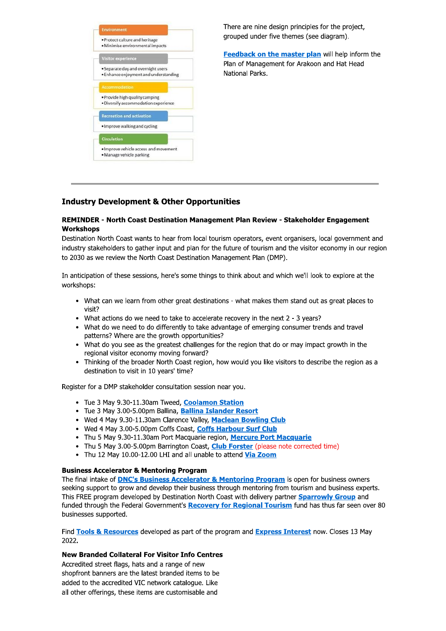

There are nine design principles for the project, grouped under five themes (see diagram).

Feedback on the master plan will help inform the Plan of Management for Arakoon and Hat Head National Parks.

# **Industry Development & Other Opportunities**

#### REMINDER - North Coast Destination Management Plan Review - Stakeholder Engagement **Workshops**

Destination North Coast wants to hear from local tourism operators, event organisers, local government and industry stakeholders to gather input and plan for the future of tourism and the visitor economy in our region to 2030 as we review the North Coast Destination Management Plan (DMP).

In anticipation of these sessions, here's some things to think about and which we'll look to explore at the workshops:

- What can we learn from other great destinations what makes them stand out as great places to visit?
- What actions do we need to take to accelerate recovery in the next 2 3 years?
- What do we need to do differently to take advantage of emerging consumer trends and travel patterns? Where are the growth opportunities?
- What do you see as the greatest challenges for the region that do or may impact growth in the regional visitor economy moving forward?
- Thinking of the broader North Coast region, how would you like visitors to describe the region as a destination to visit in 10 years' time?

Register for a DMP stakeholder consultation session near you.

- Tue 3 May 9.30-11.30am Tweed, Coolamon Station
- Tue 3 May 3.00-5.00pm Ballina, Ballina Islander Resort
- Wed 4 May 9.30-11.30am Clarence Valley, Maclean Bowling Club
- Wed 4 May 3.00-5.00pm Coffs Coast, Coffs Harbour Surf Club
- Thu 5 May 9.30-11.30am Port Macquarie region, Mercure Port Macquarie
- Thu 5 May 3.00-5.00pm Barrington Coast, Club Forster (please note corrected time)
- Thu 12 May 10.00-12.00 LHI and all unable to attend Via Zoom

#### **Business Accelerator & Mentoring Program**

The final intake of **DNC's Business Accelerator & Mentoring Program** is open for business owners seeking support to grow and develop their business through mentoring from tourism and business experts. This FREE program developed by Destination North Coast with delivery partner **Sparrowly Group** and funded through the Federal Government's Recovery for Regional Tourism fund has thus far seen over 80 businesses supported.

Find Tools & Resources developed as part of the program and Express Interest now. Closes 13 May 2022.

#### **New Branded Collateral For Visitor Info Centres**

Accredited street flags, hats and a range of new shopfront banners are the latest branded items to be added to the accredited VIC network catalogue. Like all other offerings, these items are customisable and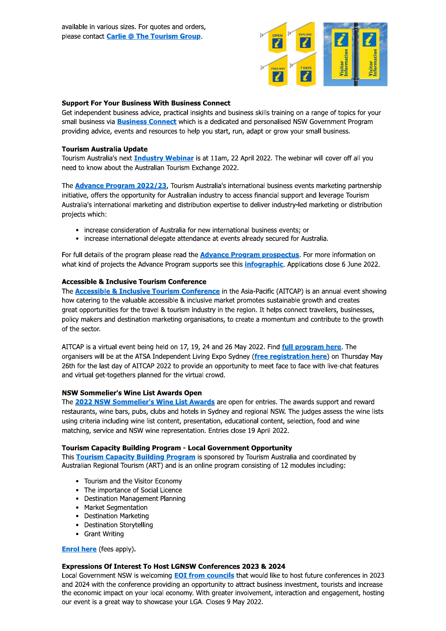

#### **Support For Your Business With Business Connect**

Get independent business advice, practical insights and business skills training on a range of topics for your small business via **Business Connect** which is a dedicated and personalised NSW Government Program providing advice, events and resources to help you start, run, adapt or grow your small business.

#### **Tourism Australia Update**

Tourism Australia's next *Industry Webinar* is at 11am, 22 April 2022. The webinar will cover off all you need to know about the Australian Tourism Exchange 2022.

The **Advance Program 2022/23**, Tourism Australia's international business events marketing partnership initiative, offers the opportunity for Australian industry to access financial support and leverage Tourism Australia's international marketing and distribution expertise to deliver industry-led marketing or distribution projects which:

- increase consideration of Australia for new international business events; or
- increase international delegate attendance at events already secured for Australia.

For full details of the program please read the **Advance Program prospectus**. For more information on what kind of projects the Advance Program supports see this *infographic*. Applications close 6 June 2022.

## **Accessible & Inclusive Tourism Conference**

The **Accessible & Inclusive Tourism Conference** in the Asia-Pacific (AITCAP) is an annual event showing how catering to the valuable accessible & inclusive market promotes sustainable growth and creates great opportunities for the travel & tourism industry in the region. It helps connect travellers, businesses, policy makers and destination marketing organisations, to create a momentum and contribute to the growth of the sector.

AITCAP is a virtual event being held on 17, 19, 24 and 26 May 2022. Find full program here. The organisers will be at the ATSA Independent Living Expo Sydney (free registration here) on Thursday May 26th for the last day of AITCAP 2022 to provide an opportunity to meet face to face with live-chat features and virtual get-togethers planned for the virtual crowd.

## **NSW Sommelier's Wine List Awards Open**

The 2022 NSW Sommelier's Wine List Awards are open for entries. The awards support and reward restaurants, wine bars, pubs, clubs and hotels in Sydney and regional NSW. The judges assess the wine lists using criteria including wine list content, presentation, educational content, selection, food and wine matching, service and NSW wine representation. Entries close 19 April 2022.

#### **Tourism Capacity Building Program - Local Government Opportunity**

This Tourism Capacity Building Program is sponsored by Tourism Australia and coordinated by Australian Regional Tourism (ART) and is an online program consisting of 12 modules including:

- Tourism and the Visitor Economy
- The importance of Social Licence
- **Destination Management Planning**
- Market Segmentation
- **Destination Marketing**
- **Destination Storytelling**
- Grant Writing

**Enrol here** (fees apply).

#### Expressions Of Interest To Host LGNSW Conferences 2023 & 2024

Local Government NSW is welcoming **EOI from councils** that would like to host future conferences in 2023 and 2024 with the conference providing an opportunity to attract business investment, tourists and increase the economic impact on your local economy. With greater involvement, interaction and engagement, hosting our event is a great way to showcase your LGA. Closes 9 May 2022.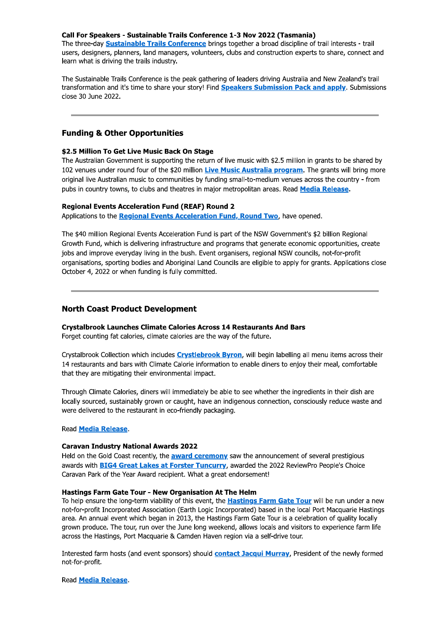#### Call For Speakers - Sustainable Trails Conference 1-3 Nov 2022 (Tasmania)

The three-day **Sustainable Trails Conference** brings together a broad discipline of trail interests - trail users, designers, planners, land managers, volunteers, clubs and construction experts to share, connect and learn what is driving the trails industry.

The Sustainable Trails Conference is the peak gathering of leaders driving Australia and New Zealand's trail transformation and it's time to share your story! Find Speakers Submission Pack and apply. Submissions close 30 June 2022.

#### **Funding & Other Opportunities**

#### \$2.5 Million To Get Live Music Back On Stage

The Australian Government is supporting the return of live music with \$2.5 million in grants to be shared by 102 venues under round four of the \$20 million Live Music Australia program. The grants will bring more original live Australian music to communities by funding small-to-medium venues across the country - from pubs in country towns, to clubs and theatres in major metropolitan areas. Read Media Release.

#### **Regional Events Acceleration Fund (REAF) Round 2**

Applications to the Regional Events Acceleration Fund, Round Two, have opened.

The \$40 million Regional Events Acceleration Fund is part of the NSW Government's \$2 billion Regional Growth Fund, which is delivering infrastructure and programs that generate economic opportunities, create jobs and improve everyday living in the bush. Event organisers, regional NSW councils, not-for-profit organisations, sporting bodies and Aboriginal Land Councils are eligible to apply for grants. Applications close October 4, 2022 or when funding is fully committed.

## **North Coast Product Development**

#### **Crystalbrook Launches Climate Calories Across 14 Restaurants And Bars**

Forget counting fat calories, climate calories are the way of the future.

Crystalbrook Collection which includes Crystlebrook Byron, will begin labelling all menu items across their 14 restaurants and bars with Climate Calorie information to enable diners to enjoy their meal, comfortable that they are mitigating their environmental impact.

Through Climate Calories, diners will immediately be able to see whether the ingredients in their dish are locally sourced, sustainably grown or caught, have an indigenous connection, consciously reduce waste and were delivered to the restaurant in eco-friendly packaging.

#### Read **Media Release**.

#### **Caravan Industry National Awards 2022**

Held on the Gold Coast recently, the **award ceremony** saw the announcement of several prestigious awards with **BIG4 Great Lakes at Forster Tuncurry**, awarded the 2022 ReviewPro People's Choice Caravan Park of the Year Award recipient. What a great endorsement!

#### **Hastings Farm Gate Tour - New Organisation At The Helm**

To help ensure the long-term viability of this event, the **Hastings Farm Gate Tour** will be run under a new not-for-profit Incorporated Association (Earth Logic Incorporated) based in the local Port Macquarie Hastings area. An annual event which began in 2013, the Hastings Farm Gate Tour is a celebration of quality locally grown produce. The tour, run over the June long weekend, allows locals and visitors to experience farm life across the Hastings, Port Macquarie & Camden Haven region via a self-drive tour.

Interested farm hosts (and event sponsors) should **contact Jacqui Murray**, President of the newly formed not-for-profit.

Read **Media Release**.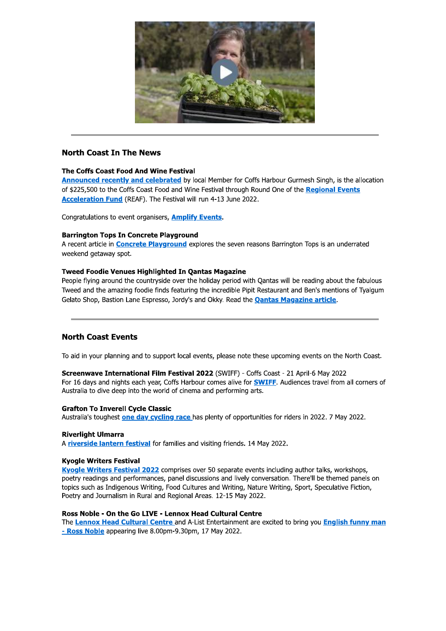

## **North Coast In The News**

## The Coffs Coast Food And Wine Festival

Announced recently and celebrated by local Member for Coffs Harbour Gurmesh Singh, is the allocation of \$225,500 to the Coffs Coast Food and Wine Festival through Round One of the Regional Events Acceleration Fund (REAF). The Festival will run 4-13 June 2022.

Congratulations to event organisers, **Amplify Events**.

#### **Barrington Tops In Concrete Playground**

A recent article in **Concrete Playground** explores the seven reasons Barrington Tops is an underrated weekend getaway spot.

#### **Tweed Foodie Venues Highlighted In Qantas Magazine**

People flying around the countryside over the holiday period with Qantas will be reading about the fabulous Tweed and the amazing foodie finds featuring the incredible Pipit Restaurant and Ben's mentions of Tyalgum Gelato Shop, Bastion Lane Espresso, Jordy's and Okky. Read the **Qantas Magazine article**.

## **North Coast Events**

To aid in your planning and to support local events, please note these upcoming events on the North Coast.

Screenwave International Film Festival 2022 (SWIFF) - Coffs Coast - 21 April-6 May 2022 For 16 days and nights each year, Coffs Harbour comes alive for **SWIFF**. Audiences travel from all corners of Australia to dive deep into the world of cinema and performing arts.

#### **Grafton To Inverell Cycle Classic**

Australia's toughest one day cycling race has plenty of opportunities for riders in 2022. 7 May 2022.

#### **Riverlight Ulmarra**

A riverside lantern festival for families and visiting friends. 14 May 2022.

#### **Kvogle Writers Festival**

Kyogle Writers Festival 2022 comprises over 50 separate events including author talks, workshops, poetry readings and performances, panel discussions and lively conversation. There'll be themed panels on topics such as Indigenous Writing, Food Cultures and Writing, Nature Writing, Sport, Speculative Fiction, Poetry and Journalism in Rural and Regional Areas. 12-15 May 2022.

#### Ross Noble - On the Go LIVE - Lennox Head Cultural Centre

The Lennox Head Cultural Centre and A-List Entertainment are excited to bring you English funny man - Ross Noble appearing live 8.00pm-9.30pm, 17 May 2022.